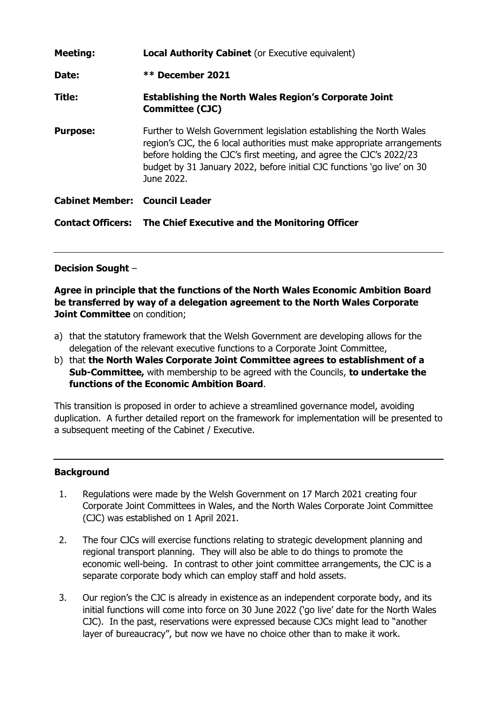| <b>Local Authority Cabinet</b> (or Executive equivalent)                                                                                                                                                                                                                                                         |
|------------------------------------------------------------------------------------------------------------------------------------------------------------------------------------------------------------------------------------------------------------------------------------------------------------------|
| ** December 2021                                                                                                                                                                                                                                                                                                 |
| <b>Establishing the North Wales Region's Corporate Joint</b><br><b>Committee (CJC)</b>                                                                                                                                                                                                                           |
| Further to Welsh Government legislation establishing the North Wales<br>region's CJC, the 6 local authorities must make appropriate arrangements<br>before holding the CJC's first meeting, and agree the CJC's 2022/23<br>budget by 31 January 2022, before initial CJC functions 'go live' on 30<br>June 2022. |
| <b>Cabinet Member: Council Leader</b>                                                                                                                                                                                                                                                                            |
| <b>Contact Officers: The Chief Executive and the Monitoring Officer</b>                                                                                                                                                                                                                                          |
|                                                                                                                                                                                                                                                                                                                  |

# **Decision Sought** –

**Agree in principle that the functions of the North Wales Economic Ambition Board be transferred by way of a delegation agreement to the North Wales Corporate Joint Committee** on condition;

- a) that the statutory framework that the Welsh Government are developing allows for the delegation of the relevant executive functions to a Corporate Joint Committee,
- b) that **the North Wales Corporate Joint Committee agrees to establishment of a Sub-Committee,** with membership to be agreed with the Councils, **to undertake the functions of the Economic Ambition Board**.

This transition is proposed in order to achieve a streamlined governance model, avoiding duplication. A further detailed report on the framework for implementation will be presented to a subsequent meeting of the Cabinet / Executive.

# **Background**

- 1. Regulations were made by the Welsh Government on 17 March 2021 creating four Corporate Joint Committees in Wales, and the North Wales Corporate Joint Committee (CJC) was established on 1 April 2021.
- 2. The four CJCs will exercise functions relating to strategic development planning and regional transport planning. They will also be able to do things to promote the economic well-being. In contrast to other joint committee arrangements, the CJC is a separate corporate body which can employ staff and hold assets.
- 3. Our region's the CJC is already in existence as an independent corporate body, and its initial functions will come into force on 30 June 2022 ('go live' date for the North Wales CJC). In the past, reservations were expressed because CJCs might lead to "another layer of bureaucracy", but now we have no choice other than to make it work.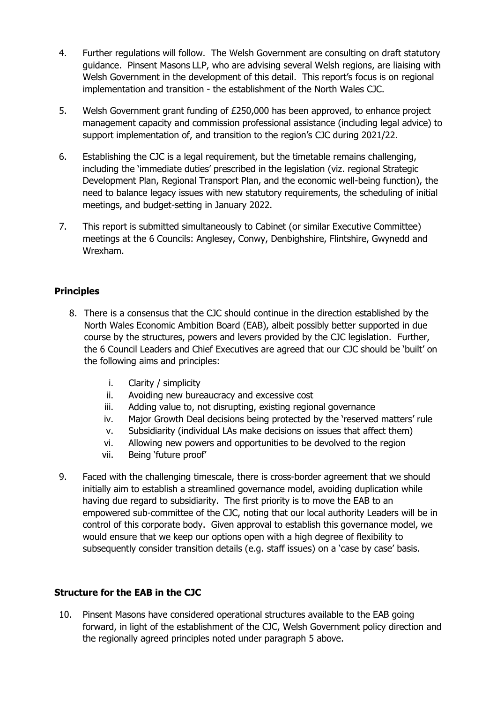- 4. Further regulations will follow. The Welsh Government are consulting on draft statutory guidance. Pinsent Masons LLP, who are advising several Welsh regions, are liaising with Welsh Government in the development of this detail. This report's focus is on regional implementation and transition - the establishment of the North Wales CJC.
- 5. Welsh Government grant funding of £250,000 has been approved, to enhance project management capacity and commission professional assistance (including legal advice) to support implementation of, and transition to the region's CJC during 2021/22.
- 6. Establishing the CJC is a legal requirement, but the timetable remains challenging, including the 'immediate duties' prescribed in the legislation (viz. regional Strategic Development Plan, Regional Transport Plan, and the economic well-being function), the need to balance legacy issues with new statutory requirements, the scheduling of initial meetings, and budget-setting in January 2022.
- 7. This report is submitted simultaneously to Cabinet (or similar Executive Committee) meetings at the 6 Councils: Anglesey, Conwy, Denbighshire, Flintshire, Gwynedd and Wrexham.

# **Principles**

- 8. There is a consensus that the CJC should continue in the direction established by the North Wales Economic Ambition Board (EAB), albeit possibly better supported in due course by the structures, powers and levers provided by the CJC legislation. Further, the 6 Council Leaders and Chief Executives are agreed that our CJC should be 'built' on the following aims and principles:
	- i. Clarity / simplicity
	- ii. Avoiding new bureaucracy and excessive cost
	- iii. Adding value to, not disrupting, existing regional governance
	- iv. Major Growth Deal decisions being protected by the 'reserved matters' rule
	- v. Subsidiarity (individual LAs make decisions on issues that affect them)
	- vi. Allowing new powers and opportunities to be devolved to the region
	- vii. Being 'future proof'
- 9. Faced with the challenging timescale, there is cross-border agreement that we should initially aim to establish a streamlined governance model, avoiding duplication while having due regard to subsidiarity. The first priority is to move the EAB to an empowered sub-committee of the CJC, noting that our local authority Leaders will be in control of this corporate body. Given approval to establish this governance model, we would ensure that we keep our options open with a high degree of flexibility to subsequently consider transition details (e.g. staff issues) on a 'case by case' basis.

### **Structure for the EAB in the CJC**

10. Pinsent Masons have considered operational structures available to the EAB going forward, in light of the establishment of the CJC, Welsh Government policy direction and the regionally agreed principles noted under paragraph 5 above.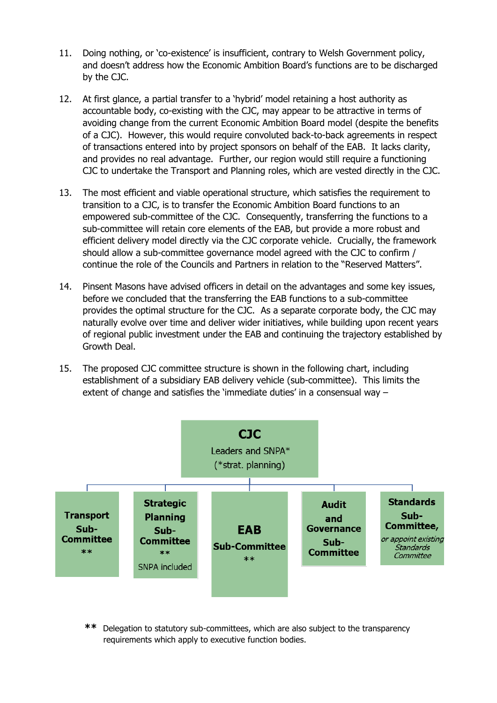- 11. Doing nothing, or 'co-existence' is insufficient, contrary to Welsh Government policy, and doesn't address how the Economic Ambition Board's functions are to be discharged by the CJC.
- 12. At first glance, a partial transfer to a 'hybrid' model retaining a host authority as accountable body, co-existing with the CJC, may appear to be attractive in terms of avoiding change from the current Economic Ambition Board model (despite the benefits of a CJC). However, this would require convoluted back-to-back agreements in respect of transactions entered into by project sponsors on behalf of the EAB. It lacks clarity, and provides no real advantage. Further, our region would still require a functioning CJC to undertake the Transport and Planning roles, which are vested directly in the CJC.
- 13. The most efficient and viable operational structure, which satisfies the requirement to transition to a CJC, is to transfer the Economic Ambition Board functions to an empowered sub-committee of the CJC. Consequently, transferring the functions to a sub-committee will retain core elements of the EAB, but provide a more robust and efficient delivery model directly via the CJC corporate vehicle. Crucially, the framework should allow a sub-committee governance model agreed with the CJC to confirm / continue the role of the Councils and Partners in relation to the "Reserved Matters".
- 14. Pinsent Masons have advised officers in detail on the advantages and some key issues, before we concluded that the transferring the EAB functions to a sub-committee provides the optimal structure for the CJC. As a separate corporate body, the CJC may naturally evolve over time and deliver wider initiatives, while building upon recent years of regional public investment under the EAB and continuing the trajectory established by Growth Deal.
- 15. The proposed CJC committee structure is shown in the following chart, including establishment of a subsidiary EAB delivery vehicle (sub-committee). This limits the extent of change and satisfies the 'immediate duties' in a consensual way –



**\*\*** Delegation to statutory sub-committees, which are also subject to the transparency requirements which apply to executive function bodies.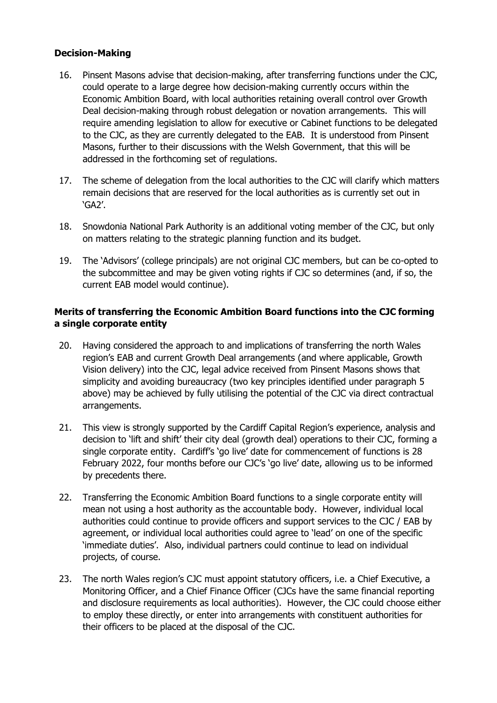### **Decision-Making**

- 16. Pinsent Masons advise that decision-making, after transferring functions under the CJC, could operate to a large degree how decision-making currently occurs within the Economic Ambition Board, with local authorities retaining overall control over Growth Deal decision-making through robust delegation or novation arrangements. This will require amending legislation to allow for executive or Cabinet functions to be delegated to the CJC, as they are currently delegated to the EAB. It is understood from Pinsent Masons, further to their discussions with the Welsh Government, that this will be addressed in the forthcoming set of regulations.
- 17. The scheme of delegation from the local authorities to the CJC will clarify which matters remain decisions that are reserved for the local authorities as is currently set out in 'GA2'.
- 18. Snowdonia National Park Authority is an additional voting member of the CJC, but only on matters relating to the strategic planning function and its budget.
- 19. The 'Advisors' (college principals) are not original CJC members, but can be co-opted to the subcommittee and may be given voting rights if CJC so determines (and, if so, the current EAB model would continue).

### **Merits of transferring the Economic Ambition Board functions into the CJC forming a single corporate entity**

- 20. Having considered the approach to and implications of transferring the north Wales region's EAB and current Growth Deal arrangements (and where applicable, Growth Vision delivery) into the CJC, legal advice received from Pinsent Masons shows that simplicity and avoiding bureaucracy (two key principles identified under paragraph 5 above) may be achieved by fully utilising the potential of the CJC via direct contractual arrangements.
- 21. This view is strongly supported by the Cardiff Capital Region's experience, analysis and decision to 'lift and shift' their city deal (growth deal) operations to their CJC, forming a single corporate entity. Cardiff's 'go live' date for commencement of functions is 28 February 2022, four months before our CJC's 'go live' date, allowing us to be informed by precedents there.
- 22. Transferring the Economic Ambition Board functions to a single corporate entity will mean not using a host authority as the accountable body. However, individual local authorities could continue to provide officers and support services to the CJC / EAB by agreement, or individual local authorities could agree to 'lead' on one of the specific 'immediate duties'. Also, individual partners could continue to lead on individual projects, of course.
- 23. The north Wales region's CJC must appoint statutory officers, i.e. a Chief Executive, a Monitoring Officer, and a Chief Finance Officer (CJCs have the same financial reporting and disclosure requirements as local authorities). However, the CJC could choose either to employ these directly, or enter into arrangements with constituent authorities for their officers to be placed at the disposal of the CJC.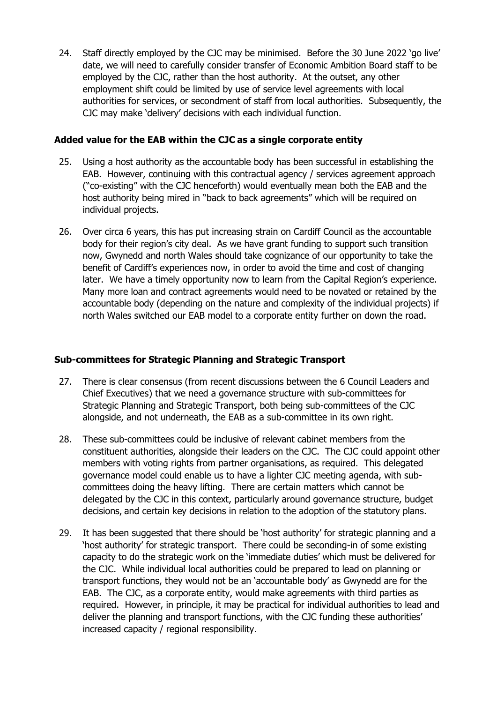24. Staff directly employed by the CJC may be minimised. Before the 30 June 2022 'go live' date, we will need to carefully consider transfer of Economic Ambition Board staff to be employed by the CJC, rather than the host authority. At the outset, any other employment shift could be limited by use of service level agreements with local authorities for services, or secondment of staff from local authorities. Subsequently, the CJC may make 'delivery' decisions with each individual function.

#### **Added value for the EAB within the CJC as a single corporate entity**

- 25. Using a host authority as the accountable body has been successful in establishing the EAB. However, continuing with this contractual agency / services agreement approach ("co-existing" with the CJC henceforth) would eventually mean both the EAB and the host authority being mired in "back to back agreements" which will be required on individual projects.
- 26. Over circa 6 years, this has put increasing strain on Cardiff Council as the accountable body for their region's city deal. As we have grant funding to support such transition now, Gwynedd and north Wales should take cognizance of our opportunity to take the benefit of Cardiff's experiences now, in order to avoid the time and cost of changing later. We have a timely opportunity now to learn from the Capital Region's experience. Many more loan and contract agreements would need to be novated or retained by the accountable body (depending on the nature and complexity of the individual projects) if north Wales switched our EAB model to a corporate entity further on down the road.

### **Sub-committees for Strategic Planning and Strategic Transport**

- 27. There is clear consensus (from recent discussions between the 6 Council Leaders and Chief Executives) that we need a governance structure with sub-committees for Strategic Planning and Strategic Transport, both being sub-committees of the CJC alongside, and not underneath, the EAB as a sub-committee in its own right.
- 28. These sub-committees could be inclusive of relevant cabinet members from the constituent authorities, alongside their leaders on the CJC. The CJC could appoint other members with voting rights from partner organisations, as required. This delegated governance model could enable us to have a lighter CJC meeting agenda, with subcommittees doing the heavy lifting. There are certain matters which cannot be delegated by the CJC in this context, particularly around governance structure, budget decisions, and certain key decisions in relation to the adoption of the statutory plans.
- 29. It has been suggested that there should be 'host authority' for strategic planning and a 'host authority' for strategic transport. There could be seconding-in of some existing capacity to do the strategic work on the 'immediate duties' which must be delivered for the CJC. While individual local authorities could be prepared to lead on planning or transport functions, they would not be an 'accountable body' as Gwynedd are for the EAB. The CJC, as a corporate entity, would make agreements with third parties as required. However, in principle, it may be practical for individual authorities to lead and deliver the planning and transport functions, with the CJC funding these authorities' increased capacity / regional responsibility.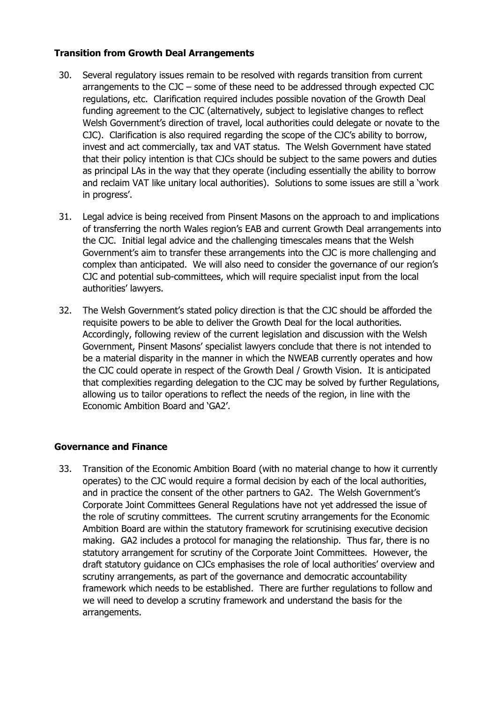### **Transition from Growth Deal Arrangements**

- 30. Several regulatory issues remain to be resolved with regards transition from current arrangements to the CJC – some of these need to be addressed through expected CJC regulations, etc. Clarification required includes possible novation of the Growth Deal funding agreement to the CJC (alternatively, subject to legislative changes to reflect Welsh Government's direction of travel, local authorities could delegate or novate to the CJC). Clarification is also required regarding the scope of the CJC's ability to borrow, invest and act commercially, tax and VAT status. The Welsh Government have stated that their policy intention is that CJCs should be subject to the same powers and duties as principal LAs in the way that they operate (including essentially the ability to borrow and reclaim VAT like unitary local authorities). Solutions to some issues are still a 'work in progress'.
- 31. Legal advice is being received from Pinsent Masons on the approach to and implications of transferring the north Wales region's EAB and current Growth Deal arrangements into the CJC. Initial legal advice and the challenging timescales means that the Welsh Government's aim to transfer these arrangements into the CJC is more challenging and complex than anticipated. We will also need to consider the governance of our region's CJC and potential sub-committees, which will require specialist input from the local authorities' lawyers.
- 32. The Welsh Government's stated policy direction is that the CJC should be afforded the requisite powers to be able to deliver the Growth Deal for the local authorities. Accordingly, following review of the current legislation and discussion with the Welsh Government, Pinsent Masons' specialist lawyers conclude that there is not intended to be a material disparity in the manner in which the NWEAB currently operates and how the CJC could operate in respect of the Growth Deal / Growth Vision. It is anticipated that complexities regarding delegation to the CJC may be solved by further Regulations, allowing us to tailor operations to reflect the needs of the region, in line with the Economic Ambition Board and 'GA2'.

### **Governance and Finance**

33. Transition of the Economic Ambition Board (with no material change to how it currently operates) to the CJC would require a formal decision by each of the local authorities, and in practice the consent of the other partners to GA2. The Welsh Government's Corporate Joint Committees General Regulations have not yet addressed the issue of the role of scrutiny committees. The current scrutiny arrangements for the Economic Ambition Board are within the statutory framework for scrutinising executive decision making. GA2 includes a protocol for managing the relationship. Thus far, there is no statutory arrangement for scrutiny of the Corporate Joint Committees. However, the draft statutory guidance on CJCs emphasises the role of local authorities' overview and scrutiny arrangements, as part of the governance and democratic accountability framework which needs to be established. There are further regulations to follow and we will need to develop a scrutiny framework and understand the basis for the arrangements.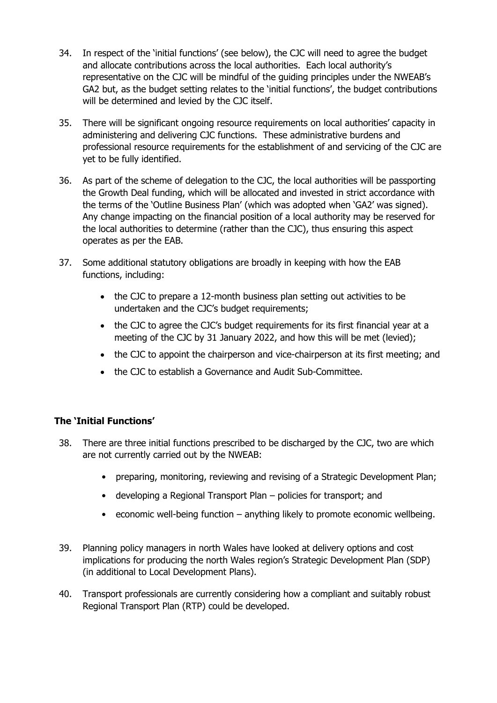- 34. In respect of the 'initial functions' (see below), the CJC will need to agree the budget and allocate contributions across the local authorities. Each local authority's representative on the CJC will be mindful of the guiding principles under the NWEAB's GA2 but, as the budget setting relates to the 'initial functions', the budget contributions will be determined and levied by the CJC itself.
- 35. There will be significant ongoing resource requirements on local authorities' capacity in administering and delivering CJC functions. These administrative burdens and professional resource requirements for the establishment of and servicing of the CJC are yet to be fully identified.
- 36. As part of the scheme of delegation to the CJC, the local authorities will be passporting the Growth Deal funding, which will be allocated and invested in strict accordance with the terms of the 'Outline Business Plan' (which was adopted when 'GA2' was signed). Any change impacting on the financial position of a local authority may be reserved for the local authorities to determine (rather than the CJC), thus ensuring this aspect operates as per the EAB.
- 37. Some additional statutory obligations are broadly in keeping with how the EAB functions, including:
	- the CJC to prepare a 12-month business plan setting out activities to be undertaken and the CJC's budget requirements;
	- the CJC to agree the CJC's budget requirements for its first financial year at a meeting of the CJC by 31 January 2022, and how this will be met (levied);
	- the CJC to appoint the chairperson and vice-chairperson at its first meeting; and
	- the CJC to establish a Governance and Audit Sub-Committee.

# **The 'Initial Functions'**

- 38. There are three initial functions prescribed to be discharged by the CJC, two are which are not currently carried out by the NWEAB:
	- preparing, monitoring, reviewing and revising of a Strategic Development Plan;
	- developing a Regional Transport Plan policies for transport; and
	- economic well-being function anything likely to promote economic wellbeing.
- 39. Planning policy managers in north Wales have looked at delivery options and cost implications for producing the north Wales region's Strategic Development Plan (SDP) (in additional to Local Development Plans).
- 40. Transport professionals are currently considering how a compliant and suitably robust Regional Transport Plan (RTP) could be developed.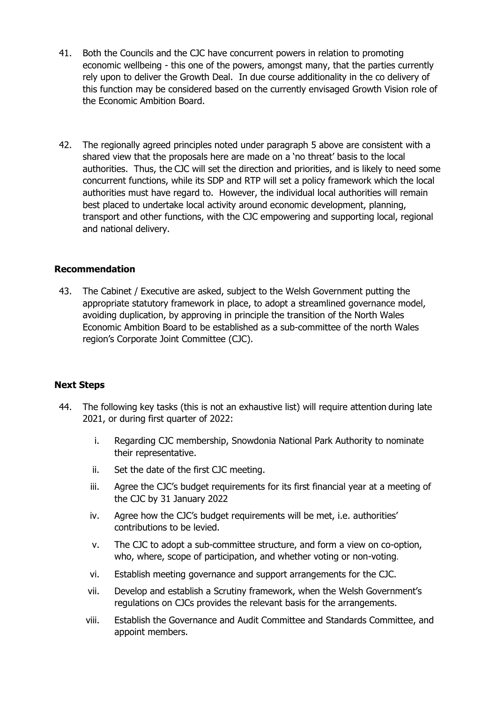- 41. Both the Councils and the CJC have concurrent powers in relation to promoting economic wellbeing - this one of the powers, amongst many, that the parties currently rely upon to deliver the Growth Deal. In due course additionality in the co delivery of this function may be considered based on the currently envisaged Growth Vision role of the Economic Ambition Board.
- 42. The regionally agreed principles noted under paragraph 5 above are consistent with a shared view that the proposals here are made on a 'no threat' basis to the local authorities. Thus, the CJC will set the direction and priorities, and is likely to need some concurrent functions, while its SDP and RTP will set a policy framework which the local authorities must have regard to. However, the individual local authorities will remain best placed to undertake local activity around economic development, planning, transport and other functions, with the CJC empowering and supporting local, regional and national delivery.

#### **Recommendation**

43. The Cabinet / Executive are asked, subject to the Welsh Government putting the appropriate statutory framework in place, to adopt a streamlined governance model, avoiding duplication, by approving in principle the transition of the North Wales Economic Ambition Board to be established as a sub-committee of the north Wales region's Corporate Joint Committee (CJC).

### **Next Steps**

- 44. The following key tasks (this is not an exhaustive list) will require attention during late 2021, or during first quarter of 2022:
	- i. Regarding CJC membership, Snowdonia National Park Authority to nominate their representative.
	- ii. Set the date of the first CJC meeting.
	- iii. Agree the CJC's budget requirements for its first financial year at a meeting of the CJC by 31 January 2022
	- iv. Agree how the CJC's budget requirements will be met, i.e. authorities' contributions to be levied.
	- v. The CJC to adopt a sub-committee structure, and form a view on co-option, who, where, scope of participation, and whether voting or non-voting.
	- vi. Establish meeting governance and support arrangements for the CJC.
	- vii. Develop and establish a Scrutiny framework, when the Welsh Government's regulations on CJCs provides the relevant basis for the arrangements.
	- viii. Establish the Governance and Audit Committee and Standards Committee, and appoint members.